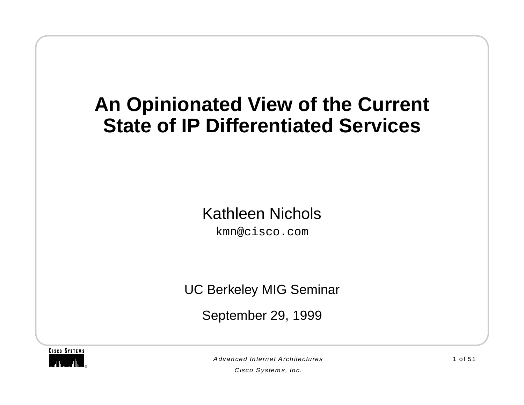# **An Opinionated View of the Current State of IP Differentiated Services**

#### Kathleen Nichols

kmn@cisco.com

UC Berkeley MIG Seminar

September 29, 1999



Advanced Internet Architectures

Cisco Systems, Inc.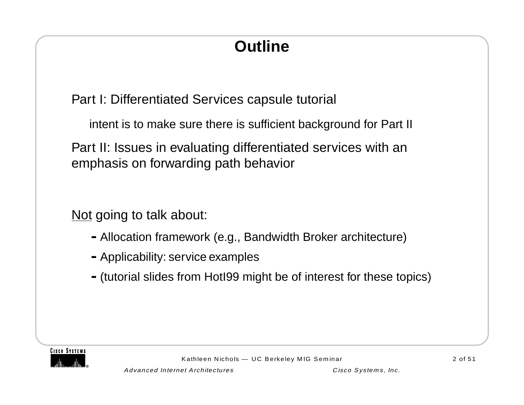# **Outline**

Part I: Differentiated Services capsule tutorial

intent is to make sure there is sufficient background for Part II

Part II: Issues in evaluating differentiated services with an emphasis on forwarding path behavior

Not going to talk about:

- **-**Allocation framework (e.g., Bandwidth Broker architecture)
- **-**Applicability: service examples
- **-**(tutorial slides from HotI99 might be of interest for these topics)

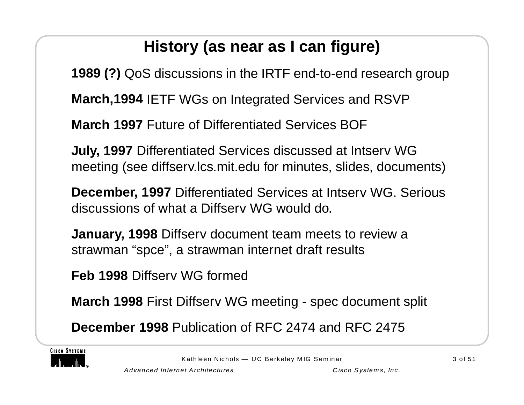# **History (as near as I can figure)**

**1989 (?)** QoS discussions in the IRTF end-to-end research group

**March,1994** IETF WGs on Integrated Services and RSVP

**March 1997** Future of Differentiated Services BOF

**July, 1997** Differentiated Services discussed at Intserv WG meeting (see diffserv.lcs.mit.edu for minutes, slides, documents)

**December, 1997** Differentiated Services at Intserv WG. Serious discussions of what a Diffserv WG would do.

**January, 1998** Diffserv document team meets to review a strawman "spce", a strawman internet draft results

**Feb 1998** Diffserv WG formed

**March 1998** First Diffserv WG meeting - spec document split

**December 1998** Publication of RFC 2474 and RFC 2475

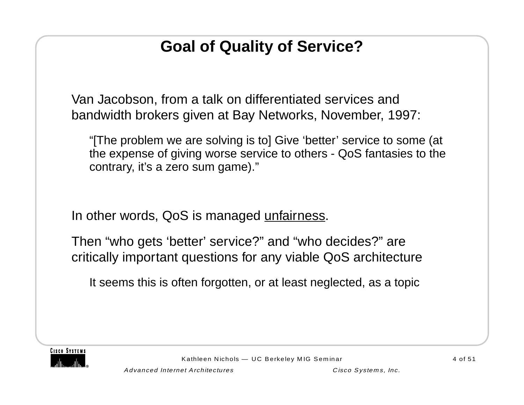# **Goal of Quality of Service?**

Van Jacobson, from a talk on differentiated services and bandwidth brokers given at Bay Networks, November, 1997:

"[The problem we are solving is to] Give 'better' service to some (at the expense of giving worse service to others - QoS fantasies to the contrary, it's a zero sum game)."

In other words, QoS is managed unfairness.

Then "who gets 'better' service?" and "who decides?" are critically important questions for any viable QoS architecture

It seems this is often forgotten, or at least neglected, as a topic

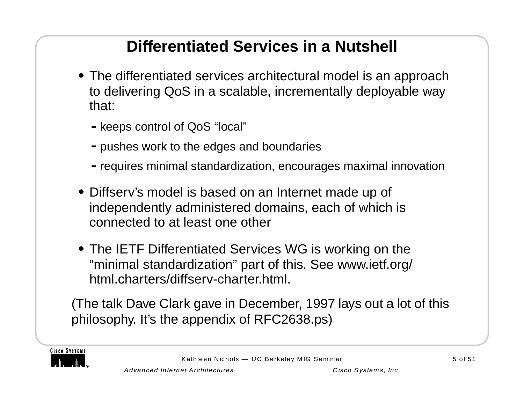# **Differentiated Services in a Nutshell**

- **•** The differentiated services architectural model is an approach to delivering QoS in a scalable, incrementally deployable way that:
	- **-**keeps control of QoS "local"
	- **-**pushes work to the edges and boundaries
	- **-**requires minimal standardization, encourages maximal innovation
- **•** Diffserv's model is based on an Internet made up of independently administered domains, each of which is connected to at least one other
- **•** The IETF Differentiated Services WG is working on the "minimal standardization" part of this. See www.ietf.org/ html.charters/diffserv-charter.html.

(The talk Dave Clark gave in December, 1997 lays out a lot of this philosophy. It's the appendix of RFC2638.ps)

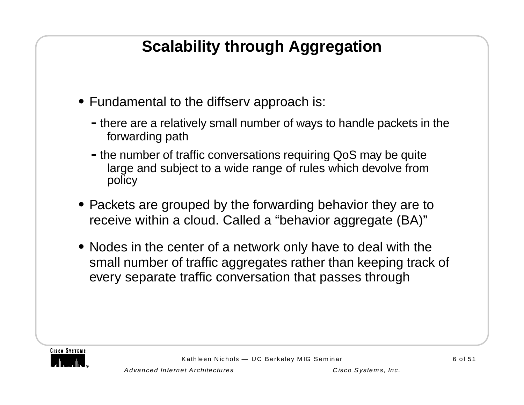# **Scalability through Aggregation**

- **•** Fundamental to the diffserv approach is:
	- **-**there are a relatively small number of ways to handle packets in the forwarding path
	- **-**the number of traffic conversations requiring QoS may be quite large and subject to a wide range of rules which devolve from policy
- **•** Packets are grouped by the forwarding behavior they are to receive within a cloud. Called a "behavior aggregate (BA)"
- **•** Nodes in the center of a network only have to deal with the small number of traffic aggregates rather than keeping track of every separate traffic conversation that passes through

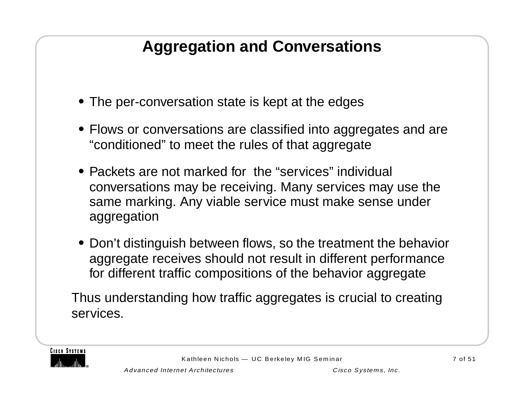# **Aggregation and Conversations**

- **•** The per-conversation state is kept at the edges
- **•** Flows or conversations are classified into aggregates and are "conditioned" to meet the rules of that aggregate
- Packets are not marked for the "services" individual conversations may be receiving. Many services may use the same marking. Any viable service must make sense under aggregation
- **•** Don't distinguish between flows, so the treatment the behavior aggregate receives should not result in different performance for different traffic compositions of the behavior aggregate

Thus understanding how traffic aggregates is crucial to creating services.

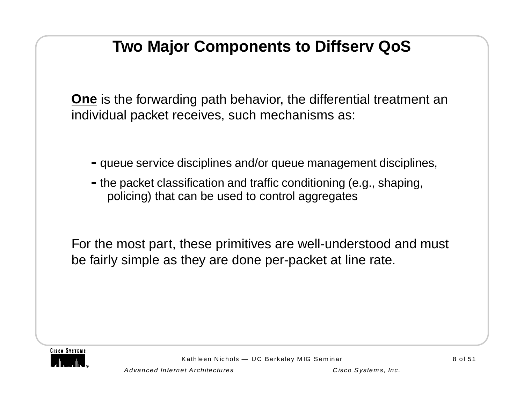# **Two Major Components to Diffserv QoS**

**One** is the forwarding path behavior, the differential treatment an individual packet receives, such mechanisms as:

- **-**queue service disciplines and/or queue management disciplines,
- **-**the packet classification and traffic conditioning (e.g., shaping, policing) that can be used to control aggregates

For the most part, these primitives are well-understood and must be fairly simple as they are done per-packet at line rate.

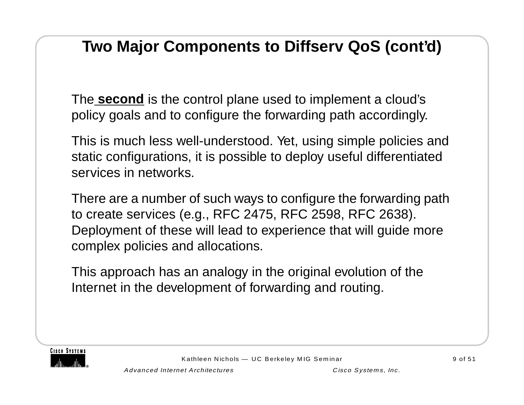# **Two Major Components to Diffserv QoS (cont'd)**

The **second** is the control plane used to implement a cloud's policy goals and to configure the forwarding path accordingly.

This is much less well-understood. Yet, using simple policies and static configurations, it is possible to deploy useful differentiated services in networks.

There are a number of such ways to configure the forwarding path to create services (e.g., RFC 2475, RFC 2598, RFC 2638). Deployment of these will lead to experience that will guide more complex policies and allocations.

This approach has an analogy in the original evolution of the Internet in the development of forwarding and routing.

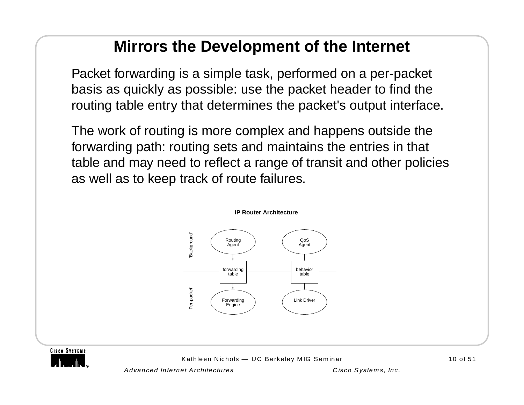#### **Mirrors the Development of the Internet**

Packet forwarding is a simple task, performed on a per-packet basis as quickly as possible: use the packet header to find the routing table entry that determines the packet's output interface.

The work of routing is more complex and happens outside the forwarding path: routing sets and maintains the entries in that table and may need to reflect a range of transit and other policies as well as to keep track of route failures.



**CISCO SYSTEMS** 

Kathleen Nichols — UC Berkeley MIG Seminar 10 of 51

Advanced Internet Architectures Cisco Systems, Inc.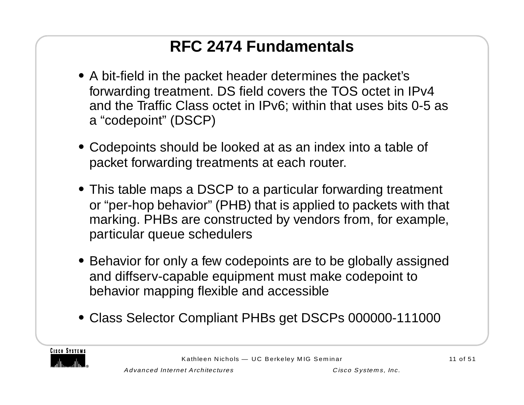# **RFC 2474 Fundamentals**

- **•** A bit-field in the packet header determines the packet's forwarding treatment. DS field covers the TOS octet in IPv4 and the Traffic Class octet in IPv6; within that uses bits 0-5 as <sup>a</sup>"codepoint" (DSCP)
- **•** Codepoints should be looked at as an index into a table of packet forwarding treatments at each router.
- **•** This table maps a DSCP to a particular forwarding treatment or "per-hop behavior" (PHB) that is applied to packets with that marking. PHBs are constructed by vendors from, for example, particular queue schedulers
- **•** Behavior for only a few codepoints are to be globally assigned and diffserv-capable equipment must make codepoint to behavior mapping flexible and accessible
- **•** Class Selector Compliant PHBs get DSCPs 000000-111000

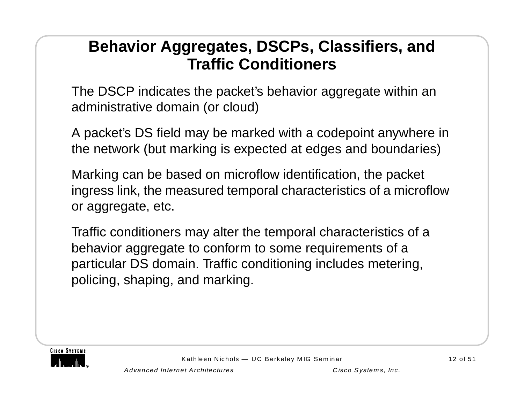#### **Behavior Aggregates, DSCPs, Classifiers, and Traffic Conditioners**

The DSCP indicates the packet's behavior aggregate within an administrative domain (or cloud)

A packet's DS field may be marked with a codepoint anywhere in the network (but marking is expected at edges and boundaries)

Marking can be based on microflow identification, the packet ingress link, the measured temporal characteristics of a microflow or aggregate, etc.

Traffic conditioners may alter the temporal characteristics of a behavior aggregate to conform to some requirements of a particular DS domain. Traffic conditioning includes metering, policing, shaping, and marking.

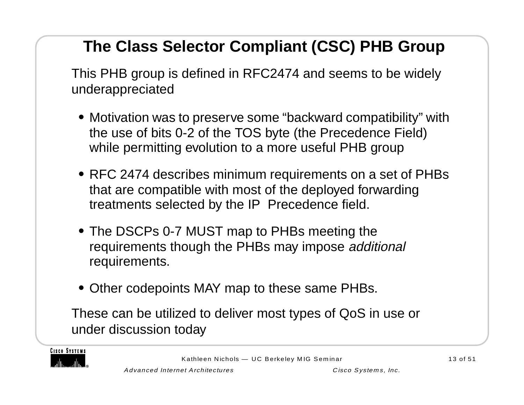# **The Class Selector Compliant (CSC) PHB Group**

This PHB group is defined in RFC2474 and seems to be widely underappreciated

- **•** Motivation was to preserve some "backward compatibility" with the use of bits 0-2 of the TOS byte (the Precedence Field) while permitting evolution to a more useful PHB group
- **•** RFC 2474 describes minimum requirements on a set of PHBs that are compatible with most of the deployed forwarding treatments selected by the IP Precedence field.
- **•** The DSCPs 0-7 MUST map to PHBs meeting the requirements though the PHBs may impose additional requirements.
- **•** Other codepoints MAY map to these same PHBs.

These can be utilized to deliver most types of QoS in use or under discussion today

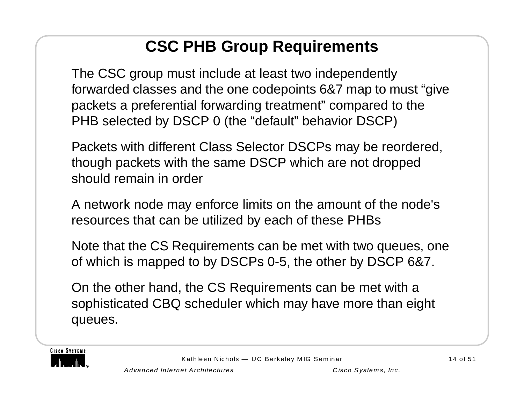# **CSC PHB Group Requirements**

The CSC group must include at least two independently forwarded classes and the one codepoints 6&7 map to must "give packets a preferential forwarding treatment" compared to the PHB selected by DSCP 0 (the "default" behavior DSCP)

Packets with different Class Selector DSCPs may be reordered, though packets with the same DSCP which are not dropped should remain in order

A network node may enforce limits on the amount of the node's resources that can be utilized by each of these PHBs

Note that the CS Requirements can be met with two queues, one of which is mapped to by DSCPs 0-5, the other by DSCP 6&7.

On the other hand, the CS Requirements can be met with a sophisticated CBQ scheduler which may have more than eight queues.

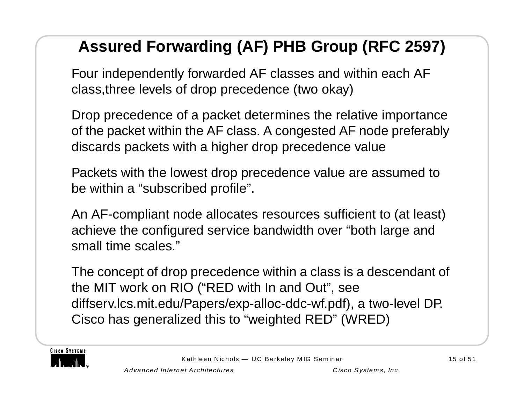# **Assured Forwarding (AF) PHB Group (RFC 2597)**

Four independently forwarded AF classes and within each AF class,three levels of drop precedence (two okay)

Drop precedence of a packet determines the relative importance of the packet within the AF class. A congested AF node preferably discards packets with a higher drop precedence value

Packets with the lowest drop precedence value are assumed to be within a "subscribed profile".

An AF-compliant node allocates resources sufficient to (at least) achieve the configured service bandwidth over "both large and small time scales."

The concept of drop precedence within a class is a descendant of the MIT work on RIO ("RED with In and Out", see diffserv.lcs.mit.edu/Papers/exp-alloc-ddc-wf.pdf), a two-level DP. Cisco has generalized this to "weighted RED" (WRED)

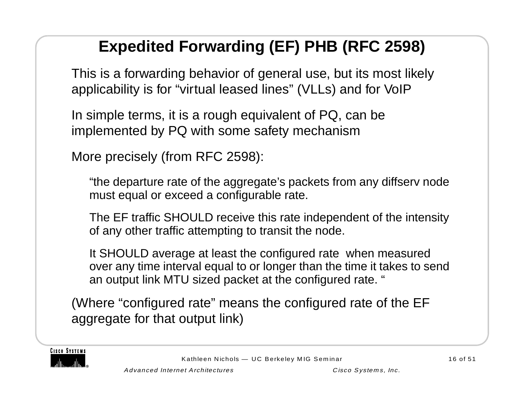# **Expedited Forwarding (EF) PHB (RFC 2598)**

This is a forwarding behavior of general use, but its most likely applicability is for "virtual leased lines" (VLLs) and for VoIP

In simple terms, it is a rough equivalent of PQ, can be implemented by PQ with some safety mechanism

More precisely (from RFC 2598):

"the departure rate of the aggregate's packets from any diffserv node must equal or exceed a configurable rate.

The EF traffic SHOULD receive this rate independent of the intensity of any other traffic attempting to transit the node.

It SHOULD average at least the configured rate when measured over any time interval equal to or longer than the time it takes to send an output link MTU sized packet at the configured rate. "

(Where "configured rate" means the configured rate of the EF aggregate for that output link)

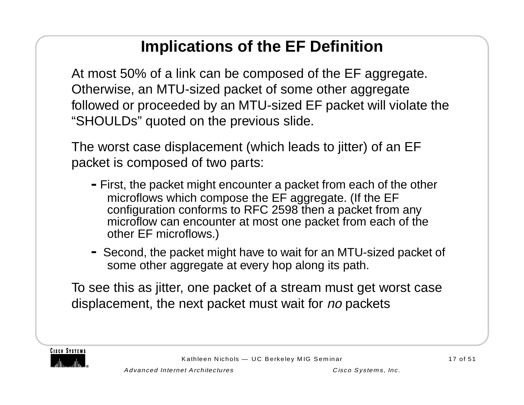# **Implications of the EF Definition**

At most 50% of a link can be composed of the EF aggregate. Otherwise, an MTU-sized packet of some other aggregate followed or proceeded by an MTU-sized EF packet will violate the "SHOULDs" quoted on the previous slide.

The worst case displacement (which leads to jitter) of an EF packet is composed of two parts:

- **-**First, the packet might encounter a packet from each of the other microflows which compose the EF aggregate. (If the EF configuration conforms to RFC 2598 then a packet from any microflow can encounter at most one packet from each of the other EF microflows.)
- **-** Second, the packet might have to wait for an MTU-sized packet of some other aggregate at every hop along its path.

To see this as jitter, one packet of a stream must get worst case displacement, the next packet must wait for no packets

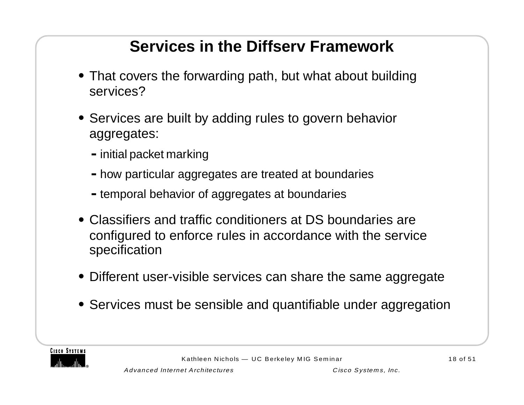# **Services in the Diffserv Framework**

- **•** That covers the forwarding path, but what about building services?
- **•** Services are built by adding rules to govern behavior aggregates:
	- **-**initial packet marking
	- **-**how particular aggregates are treated at boundaries
	- **-**temporal behavior of aggregates at boundaries
- **•** Classifiers and traffic conditioners at DS boundaries are configured to enforce rules in accordance with the service specification
- **•** Different user-visible services can share the same aggregate
- **•** Services must be sensible and quantifiable under aggregation

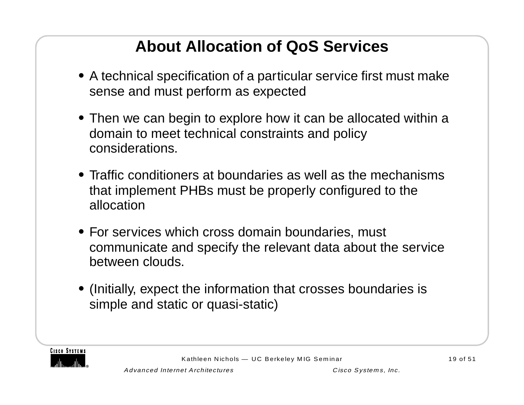# **About Allocation of QoS Services**

- **•** A technical specification of a particular service first must make sense and must perform as expected
- **•** Then we can begin to explore how it can be allocated within a domain to meet technical constraints and policy considerations.
- **•** Traffic conditioners at boundaries as well as the mechanisms that implement PHBs must be properly configured to the allocation
- **•** For services which cross domain boundaries, must communicate and specify the relevant data about the service between clouds.
- **•** (Initially, expect the information that crosses boundaries is simple and static or quasi-static)

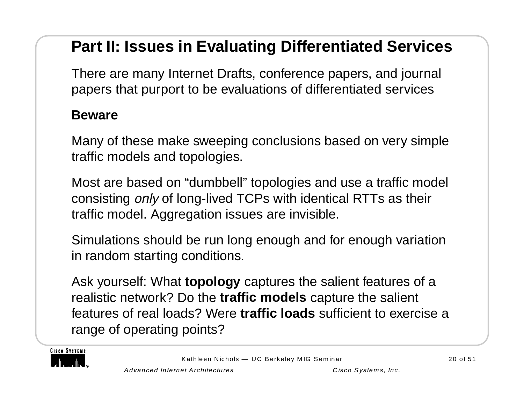# **Part II: Issues in Evaluating Differentiated Services**

There are many Internet Drafts, conference papers, and journal papers that purport to be evaluations of differentiated services

#### **Beware**

Many of these make sweeping conclusions based on very simple traffic models and topologies.

Most are based on "dumbbell" topologies and use a traffic model consisting only of long-lived TCPs with identical RTTs as their traffic model. Aggregation issues are invisible.

Simulations should be run long enough and for enough variation in random starting conditions.

Ask yourself: What **topology** captures the salient features of a realistic network? Do the **traffic models** capture the salient features of real loads? Were **traffic loads** sufficient to exercise a range of operating points?

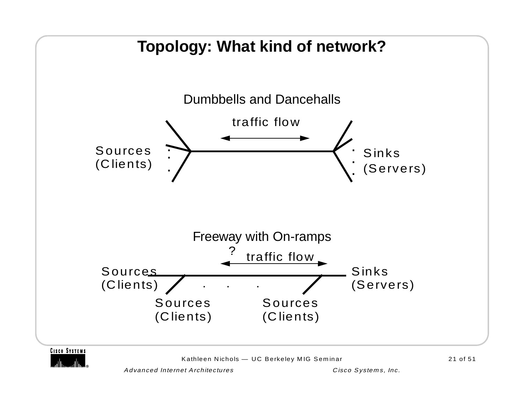

Kathleen Nichols — UC Berkeley MIG Seminar 21 of 51

Advanced Internet Architectures Cisco Systems, Inc.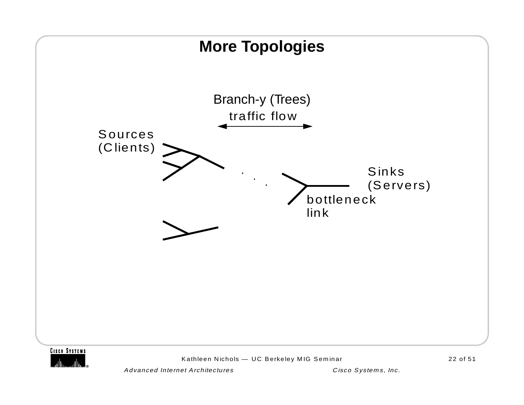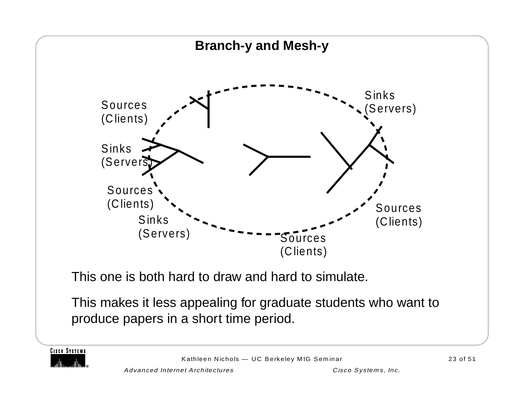

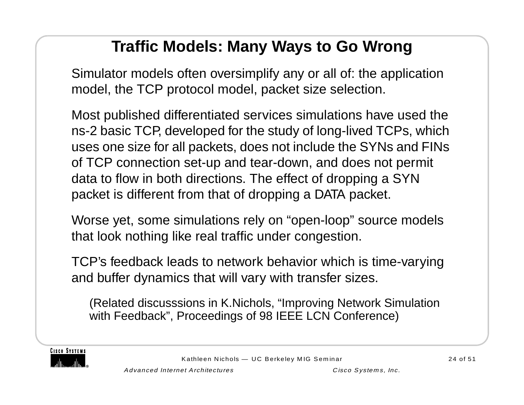# **Traffic Models: Many Ways to Go Wrong**

Simulator models often oversimplify any or all of: the application model, the TCP protocol model, packet size selection.

Most published differentiated services simulations have used the ns-2 basic TCP, developed for the study of long-lived TCPs, which uses one size for all packets, does not include the SYNs and FINs of TCP connection set-up and tear-down, and does not permit data to flow in both directions. The effect of dropping a SYN packet is different from that of dropping a DATA packet.

Worse yet, some simulations rely on "open-loop" source models that look nothing like real traffic under congestion.

TCP's feedback leads to network behavior which is time-varying and buffer dynamics that will vary with transfer sizes.

(Related discusssions in K.Nichols, "Improving Network Simulation with Feedback", Proceedings of 98 IEEE LCN Conference)

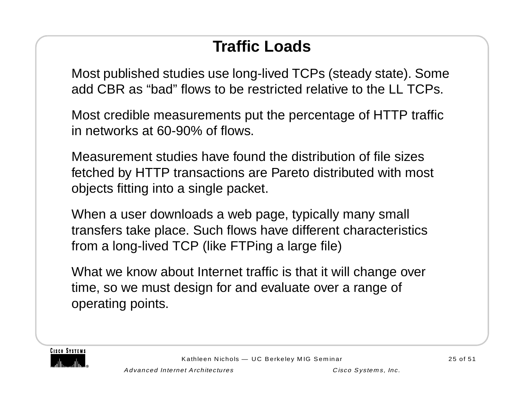# **Traffic Loads**

Most published studies use long-lived TCPs (steady state). Some add CBR as "bad" flows to be restricted relative to the LL TCPs.

Most credible measurements put the percentage of HTTP traffic in networks at 60-90% of flows.

Measurement studies have found the distribution of file sizes fetched by HTTP transactions are Pareto distributed with most objects fitting into a single packet.

When a user downloads a web page, typically many small transfers take place. Such flows have different characteristics from a long-lived TCP (like FTPing a large file)

What we know about Internet traffic is that it will change over time, so we must design for and evaluate over a range of operating points.

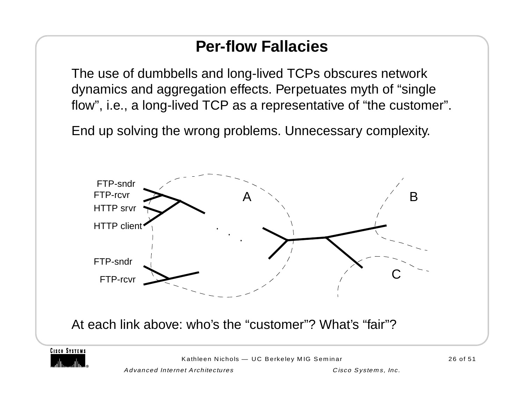## **Per-flow Fallacies**

The use of dumbbells and long-lived TCPs obscures network dynamics and aggregation effects. Perpetuates myth of "single flow", i.e., a long-lived TCP as a representative of "the customer".

End up solving the wrong problems. Unnecessary complexity.





Kathleen Nichols — UC Berkeley MIG Seminar 26 of 51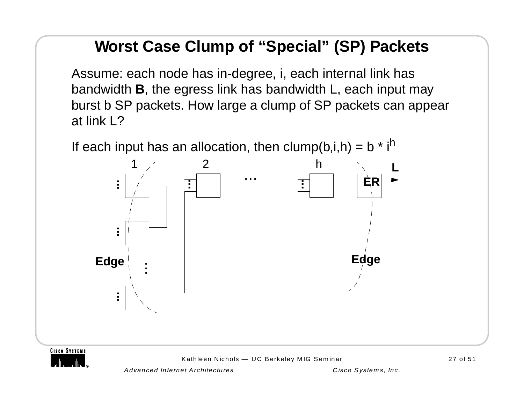# **Worst Case Clump of "Special" (SP) Packets**

Assume: each node has in-degree, i, each internal link has bandwidth **B**, the egress link has bandwidth L, each input may burst b SP packets. How large a clump of SP packets can appear at link L?

If each input has an allocation, then clump(b,i,h) =  $b * i<sup>h</sup>$ 





Kathleen Nichols — UC Berkeley MIG Seminar 27 of 51

Advanced Internet Architectures Cisco Systems, Inc.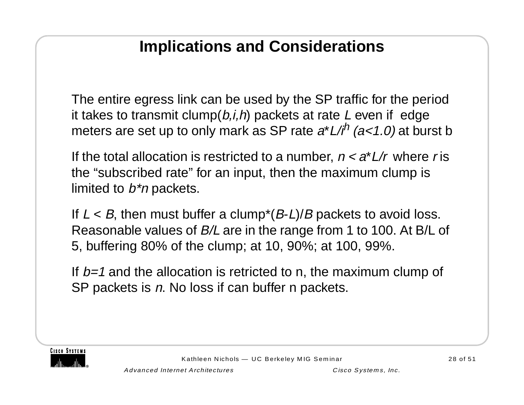### **Implications and Considerations**

The entire egress link can be used by the SP traffic for the period it takes to transmit clump( $b, i, h$ ) packets at rate L even if edge meters are set up to only mark as SP rate  $a^*L/i^h$  ( $a<1.0$ ) at burst b

If the total allocation is restricted to a number,  $n < a^*L/r$  where r is the "subscribed rate" for an input, then the maximum clump is limited to  $b^*n$  packets.

If  $L < B$ , then must buffer a clump\*( $B$ - $L$ )/ $B$  packets to avoid loss. Reasonable values of B/L are in the range from 1 to 100. At B/L of 5, buffering 80% of the clump; at 10, 90%; at 100, 99%.

If  $b=1$  and the allocation is retricted to n, the maximum clump of SP packets is n. No loss if can buffer n packets.

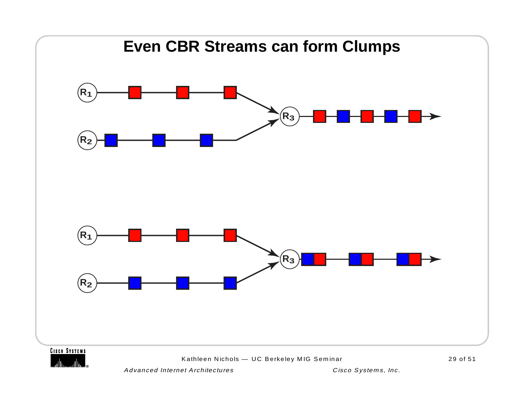

Advanced Internet Architectures Cisco Systems, Inc.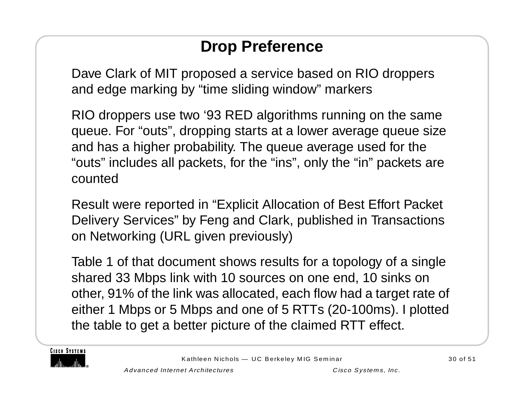# **Drop Preference**

Dave Clark of MIT proposed a service based on RIO droppers and edge marking by "time sliding window" markers

RIO droppers use two '93 RED algorithms running on the same queue. For "outs", dropping starts at a lower average queue size and has a higher probability. The queue average used for the "outs" includes all packets, for the "ins", only the "in" packets are counted

Result were reported in "Explicit Allocation of Best Effort Packet Delivery Services" by Feng and Clark, published in Transactions on Networking (URL given previously)

Table 1 of that document shows results for a topology of a single shared 33 Mbps link with 10 sources on one end, 10 sinks on other, 91% of the link was allocated, each flow had a target rate of either 1 Mbps or 5 Mbps and one of 5 RTTs (20-100ms). I plotted the table to get a better picture of the claimed RTT effect.

**CISCO SYSTEMS**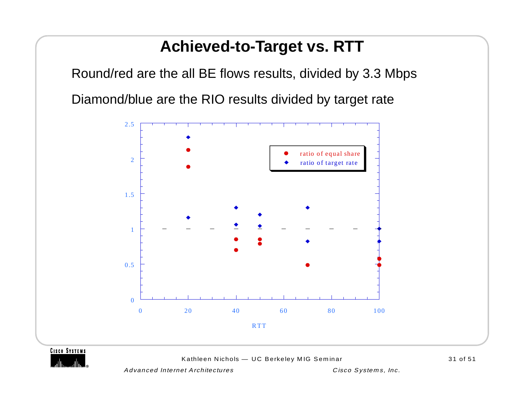#### **Achieved-to-Target vs. RTT**

Round/red are the all BE flows results, divided by 3.3 Mbps Diamond/blue are the RIO results divided by target rate



**CISCO SYSTEMS** 

Kathleen Nichols - UC Berkeley MIG Seminar 31 of 51

Advanced Internet Architectures and Cisco Systems, Inc.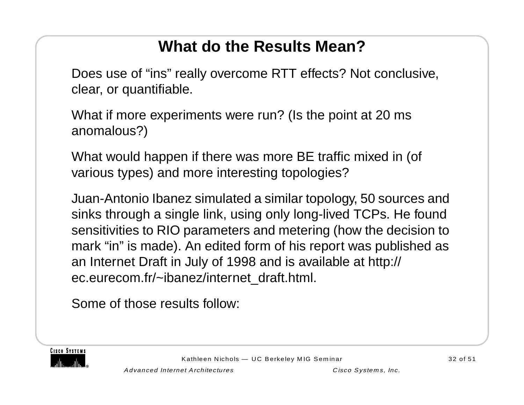# **What do the Results Mean?**

Does use of "ins" really overcome RTT effects? Not conclusive, clear, or quantifiable.

What if more experiments were run? (Is the point at 20 ms anomalous?)

What would happen if there was more BE traffic mixed in (of various types) and more interesting topologies?

Juan-Antonio Ibanez simulated a similar topology, 50 sources and sinks through a single link, using only long-lived TCPs. He found sensitivities to RIO parameters and metering (how the decision to mark "in" is made). An edited form of his report was published as an Internet Draft in July of 1998 and is available at http:// ec.eurecom.fr/~ibanez/internet\_draft.html.

Some of those results follow:

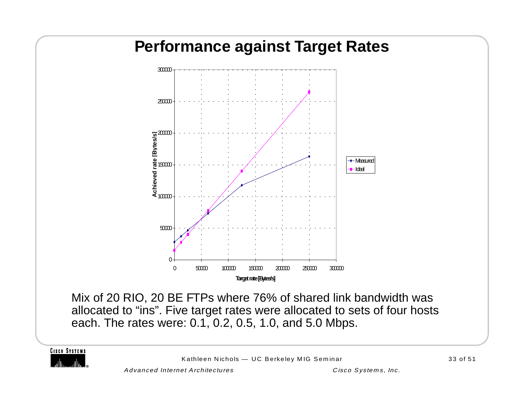

**CISCO SYSTEMS** 

Kathleen Nichols — UC Berkeley MIG Seminar 33 of 51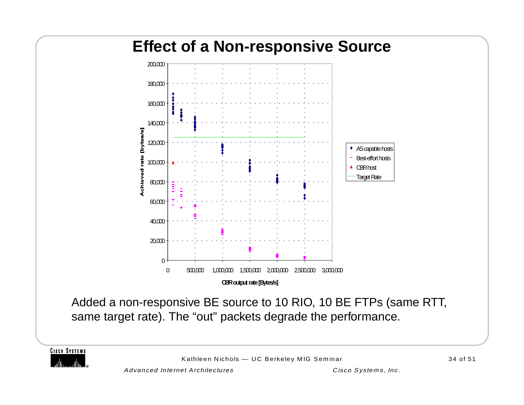# **Effect of a Non-responsive Source** 180,000 200,000



Added a non-responsive BE source to 10 RIO, 10 BE FTPs (same RTT, same target rate). The "out" packets degrade the performance.

**CISCO SYSTEMS** 

Kathleen Nichols — UC Berkeley MIG Seminar 34 of 51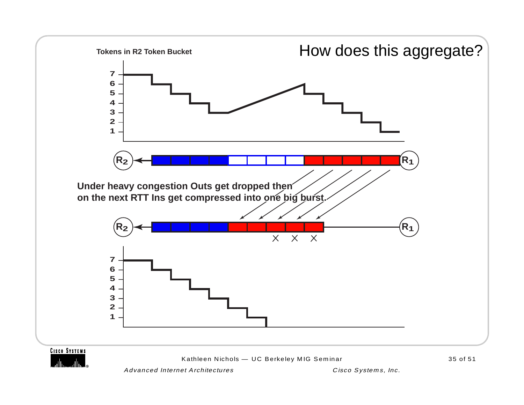

Advanced Internet Architectures Cisco Systems, Inc.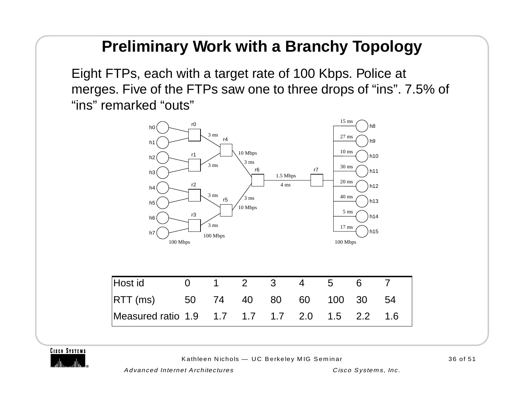#### **Preliminary Work with a Branchy Topology**

Eight FTPs, each with a target rate of 100 Kbps. Police at merges. Five of the FTPs saw one to three drops of "ins". 7.5% of "ins" remarked "outs"



**CISCO SYSTEMS** 

Kathleen Nichols — UC Berkeley MIG Seminar 36 of 51

Advanced Internet Architectures Cisco Systems, Inc.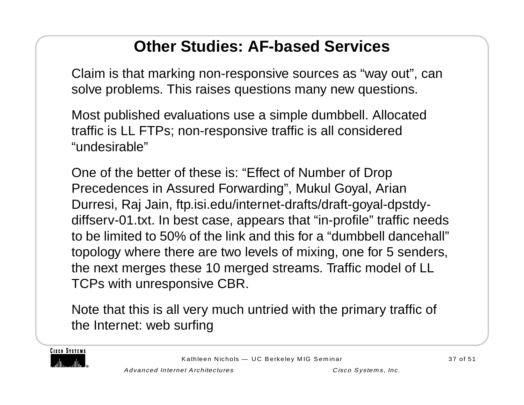# **Other Studies: AF-based Services**

Claim is that marking non-responsive sources as "way out", can solve problems. This raises questions many new questions.

Most published evaluations use a simple dumbbell. Allocated traffic is LL FTPs; non-responsive traffic is all considered "undesirable"

One of the better of these is: "Effect of Number of Drop Precedences in Assured Forwarding", Mukul Goyal, Arian Durresi, Raj Jain, ftp.isi.edu/internet-drafts/draft-goyal-dpstdydiffserv-01.txt. In best case, appears that "in-profile" traffic needs to be limited to 50% of the link and this for a "dumbbell dancehall" topology where there are two levels of mixing, one for 5 senders, the next merges these 10 merged streams. Traffic model of LL TCPs with unresponsive CBR.

Note that this is all very much untried with the primary traffic of the Internet: web surfing

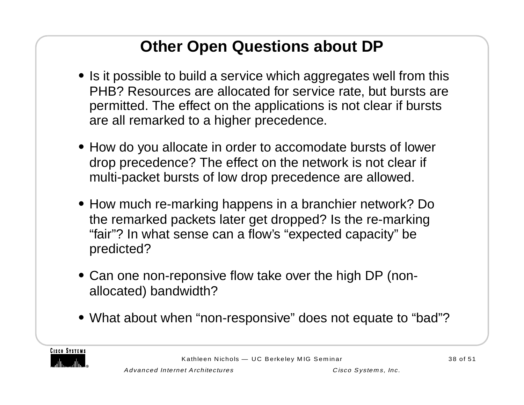# **Other Open Questions about DP**

- **•** Is it possible to build a service which aggregates well from this PHB? Resources are allocated for service rate, but bursts are permitted. The effect on the applications is not clear if bursts are all remarked to a higher precedence.
- **•** How do you allocate in order to accomodate bursts of lower drop precedence? The effect on the network is not clear if multi-packet bursts of low drop precedence are allowed.
- **•** How much re-marking happens in a branchier network? Do the remarked packets later get dropped? Is the re-marking "fair"? In what sense can a flow's "expected capacity" be predicted?
- **•** Can one non-reponsive flow take over the high DP (nonallocated) bandwidth?
- **•** What about when "non-responsive" does not equate to "bad"?

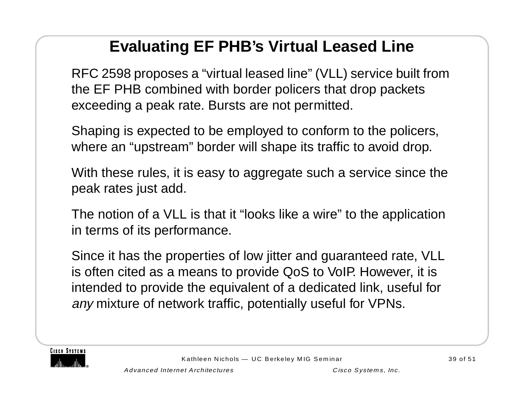# **Evaluating EF PHB's Virtual Leased Line**

RFC 2598 proposes a "virtual leased line" (VLL) service built from the EF PHB combined with border policers that drop packets exceeding a peak rate. Bursts are not permitted.

Shaping is expected to be employed to conform to the policers, where an "upstream" border will shape its traffic to avoid drop.

With these rules, it is easy to aggregate such a service since the peak rates just add.

The notion of a VLL is that it "looks like a wire" to the application in terms of its performance.

Since it has the properties of low jitter and guaranteed rate, VLL is often cited as a means to provide QoS to VoIP. However, it is intended to provide the equivalent of a dedicated link, useful for any mixture of network traffic, potentially useful for VPNs.

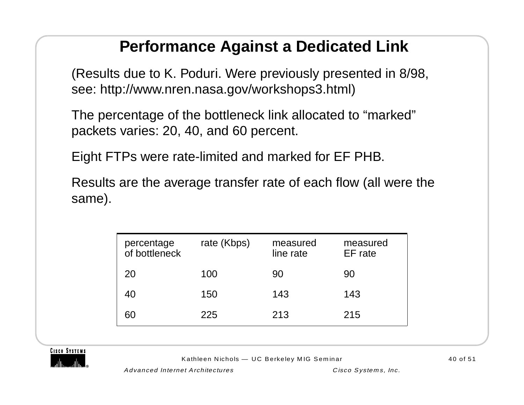#### **Performance Against a Dedicated Link**

(Results due to K. Poduri. Were previously presented in 8/98, see: http://www.nren.nasa.gov/workshops3.html)

The percentage of the bottleneck link allocated to "marked" packets varies: 20, 40, and 60 percent.

Eight FTPs were rate-limited and marked for EF PHB.

Results are the average transfer rate of each flow (all were the same).

| percentage<br>of bottleneck | rate (Kbps) | measured<br>line rate | measured<br>EF rate |
|-----------------------------|-------------|-----------------------|---------------------|
| 20                          | 100         | 90                    | 90                  |
| 40                          | 150         | 143                   | 143                 |
| 60                          | 225         | 213                   | 215                 |



Kathleen Nichols — UC Berkeley MIG Seminar 40 of 51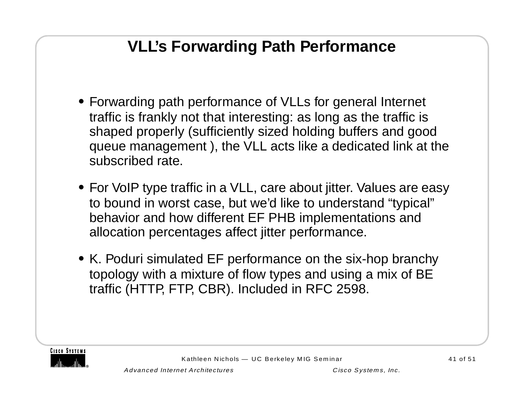# **VLL's Forwarding Path Performance**

- **•** Forwarding path performance of VLLs for general Internet traffic is frankly not that interesting: as long as the traffic is shaped properly (sufficiently sized holding buffers and good queue management ), the VLL acts like a dedicated link at the subscribed rate.
- **•** For VoIP type traffic in a VLL, care about jitter. Values are easy to bound in worst case, but we'd like to understand "typical" behavior and how different EF PHB implementations and allocation percentages affect jitter performance.
- **•** K. Poduri simulated EF performance on the six-hop branchy topology with a mixture of flow types and using a mix of BE traffic (HTTP, FTP, CBR). Included in RFC 2598.

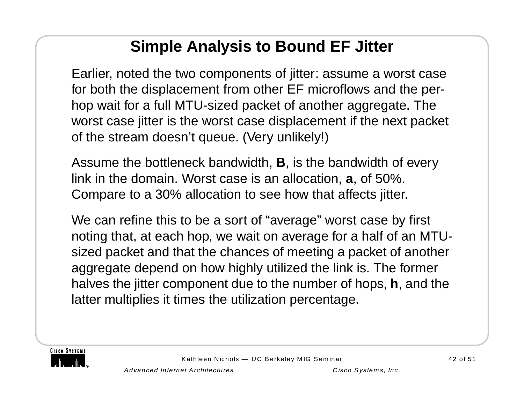# **Simple Analysis to Bound EF Jitter**

Earlier, noted the two components of jitter: assume a worst case for both the displacement from other EF microflows and the perhop wait for a full MTU-sized packet of another aggregate. The worst case jitter is the worst case displacement if the next packet of the stream doesn't queue. (Very unlikely!)

Assume the bottleneck bandwidth, **B**, is the bandwidth of every link in the domain. Worst case is an allocation, **<sup>a</sup>**, of 50%. Compare to a 30% allocation to see how that affects jitter.

We can refine this to be a sort of "average" worst case by first noting that, at each hop, we wait on average for a half of an MTUsized packet and that the chances of meeting a packet of another aggregate depend on how highly utilized the link is. The former halves the jitter component due to the number of hops, **h**, and the latter multiplies it times the utilization percentage.

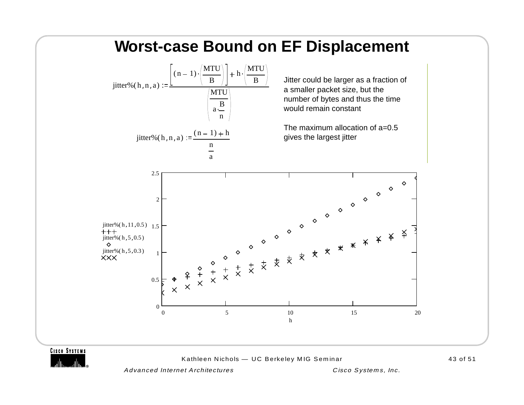

**CISCO SYSTEMS** 

Kathleen Nichols — UC Berkeley MIG Seminar 43 of 51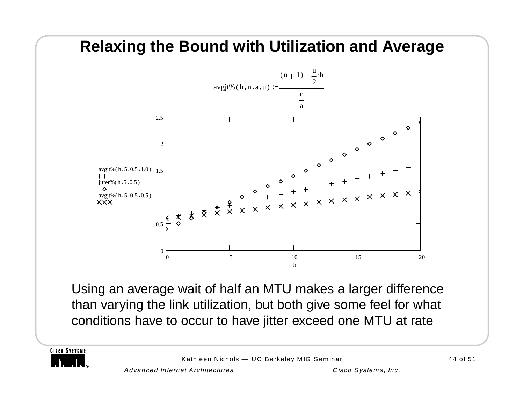

Using an average wait of half an MTU makes a larger difference than varying the link utilization, but both give some feel for what conditions have to occur to have jitter exceed one MTU at rate

**CISCO SYSTEMS**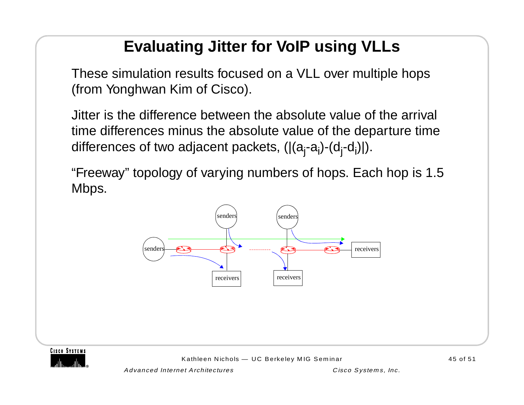# **Evaluating Jitter for VoIP using VLLs**

These simulation results focused on a VLL over multiple hops (from Yonghwan Kim of Cisco).

Jitter is the difference between the absolute value of the arrival time differences minus the absolute value of the departure time differences of two adjacent packets,  $(|(a_i-a_i)-(d_i-d_i)|)$ .

"Freeway" topology of varying numbers of hops. Each hop is 1.5 Mbps.



**CISCO SYSTEMS** 

Kathleen Nichols — UC Berkeley MIG Seminar 45 of 51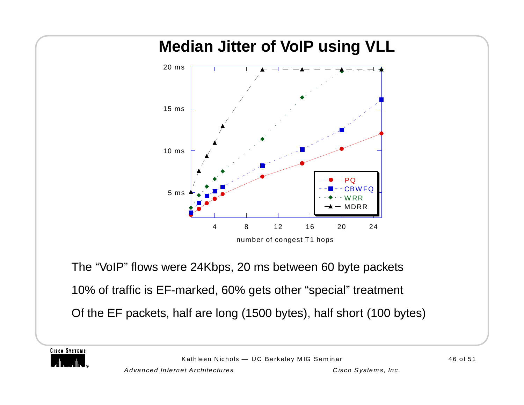# **Median Jitter of VoIP using VLL** The "VoIP" flows were 24Kbps, 20 ms between 60 byte packets 10% of traffic is EF-marked, 60% gets other "special" treatment Of the EF packets, half are long (1500 bytes), half short (100 bytes) 5 ms 10 ms15 ms20 ms4 8 12 16 20 2424 PQ**CBWFQ** WRRMDRRnumber of congest T1 hops

**CISCO SYSTEMS**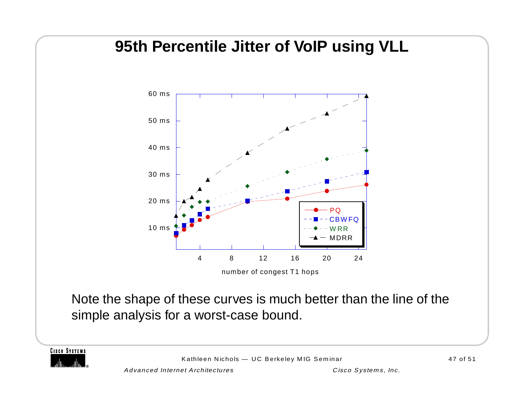#### **95th Percentile Jitter of VoIP using VLL**



number of congest T1 hops

Note the shape of these curves is much better than the line of the simple analysis for a worst-case bound.

**CISCO SYSTEMS** 

Kathleen Nichols — UC Berkeley MIG Seminar 47 of 51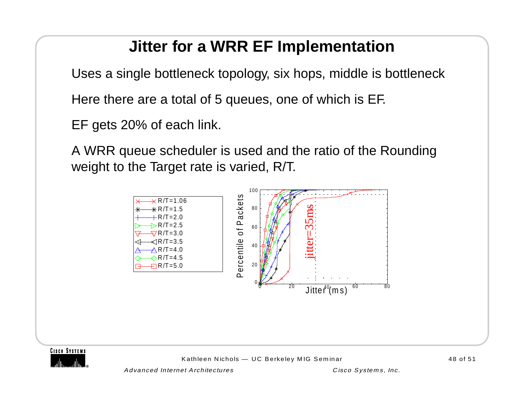# **Jitter for a WRR EF Implementation**

Uses a single bottleneck topology, six hops, middle is bottleneck

Here there are a total of 5 queues, one of which is EF.

EF gets 20% of each link.

A WRR queue scheduler is used and the ratio of the Rounding weight to the Target rate is varied, R/T.





Advanced Internet Architectures Cisco Systems, Inc.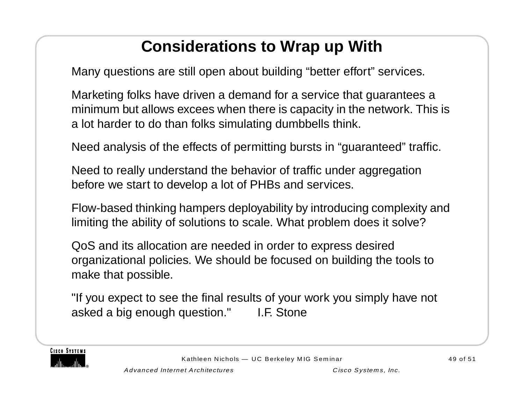# **Considerations to Wrap up With**

Many questions are still open about building "better effort" services.

Marketing folks have driven a demand for a service that guarantees a minimum but allows excees when there is capacity in the network. This is a lot harder to do than folks simulating dumbbells think.

Need analysis of the effects of permitting bursts in "guaranteed" traffic.

Need to really understand the behavior of traffic under aggregation before we start to develop a lot of PHBs and services.

Flow-based thinking hampers deployability by introducing complexity and limiting the ability of solutions to scale. What problem does it solve?

QoS and its allocation are needed in order to express desired organizational policies. We should be focused on building the tools to make that possible.

"If you expect to see the final results of your work you simply have not asked a big enough question." I.F. Stone

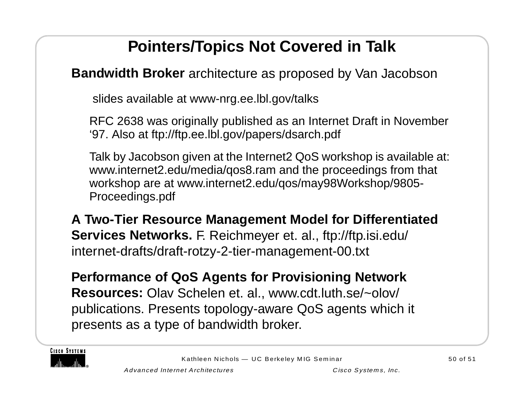# **Pointers/Topics Not Covered in Talk**

**Bandwidth Broker** architecture as proposed by Van Jacobson

slides available at www-nrg.ee.lbl.gov/talks

RFC 2638 was originally published as an Internet Draft in November '97. Also at ftp://ftp.ee.lbl.gov/papers/dsarch.pdf

Talk by Jacobson given at the Internet2 QoS workshop is available at: www.internet2.edu/media/qos8.ram and the proceedings from that workshop are at www.internet2.edu/qos/may98Workshop/9805- Proceedings.pdf

**A Two-Tier Resource Management Model for Differentiated Services Networks.** F. Reichmeyer et. al., ftp://ftp.isi.edu/ internet-drafts/draft-rotzy-2-tier-management-00.txt

**Performance of QoS Agents for Provisioning Network Resources:** Olav Schelen et. al., www.cdt.luth.se/~olov/ publications. Presents topology-aware QoS agents which it presents as a type of bandwidth broker.